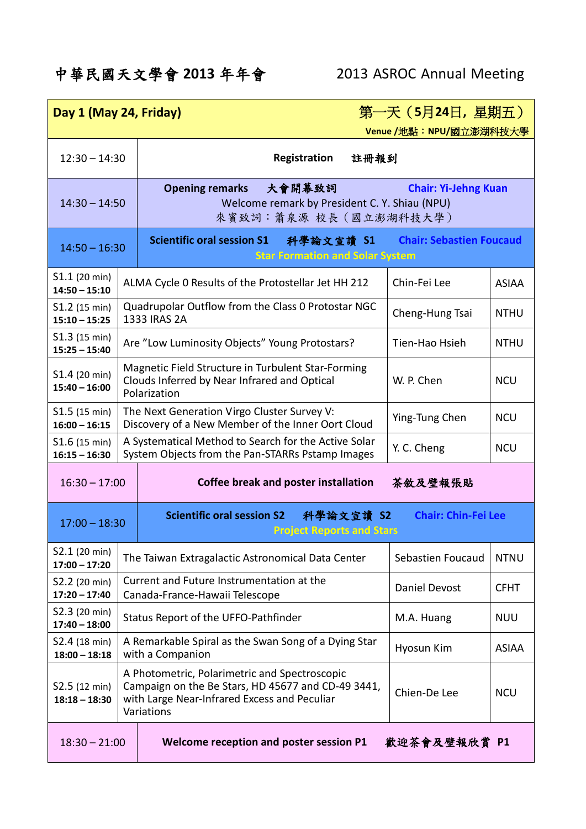## 中華民國天文學會 **2013** 年年會 2013 ASROC Annual Meeting

## **Day 1 (May 24, Friday)** 第一天(**5**月**24**日**,** 星期五)

**Venue /**地點:**NPU/**國立澎湖科技大學

| $12:30 - 14:30$                  |                                                   | 註冊報到<br>Registration                                                                                                                                              |                                 |              |  |  |  |
|----------------------------------|---------------------------------------------------|-------------------------------------------------------------------------------------------------------------------------------------------------------------------|---------------------------------|--------------|--|--|--|
| $14:30 - 14:50$                  |                                                   | Opening remarks 大會開幕致詞<br><b>Chair: Yi-Jehng Kuan</b><br>Welcome remark by President C. Y. Shiau (NPU)<br>來賓致詞:蕭泉源 校長(國立澎湖科技大學)                                   |                                 |              |  |  |  |
| $14:50 - 16:30$                  |                                                   | Scientific oral session S1 科學論文宣讀 S1<br><b>Star Formation and Solar System</b>                                                                                    | <b>Chair: Sebastien Foucaud</b> |              |  |  |  |
| S1.1 (20 min)<br>$14:50 - 15:10$ |                                                   | ALMA Cycle 0 Results of the Protostellar Jet HH 212                                                                                                               | Chin-Fei Lee                    | <b>ASIAA</b> |  |  |  |
| S1.2 (15 min)<br>$15:10 - 15:25$ |                                                   | Quadrupolar Outflow from the Class 0 Protostar NGC<br>1333 IRAS 2A                                                                                                | Cheng-Hung Tsai                 | <b>NTHU</b>  |  |  |  |
| S1.3 (15 min)<br>$15:25 - 15:40$ |                                                   | Are "Low Luminosity Objects" Young Protostars?                                                                                                                    | Tien-Hao Hsieh                  | <b>NTHU</b>  |  |  |  |
| S1.4 (20 min)<br>$15:40 - 16:00$ |                                                   | Magnetic Field Structure in Turbulent Star-Forming<br>Clouds Inferred by Near Infrared and Optical<br>Polarization                                                | W. P. Chen                      | <b>NCU</b>   |  |  |  |
| S1.5(15 min)<br>$16:00 - 16:15$  |                                                   | The Next Generation Virgo Cluster Survey V:<br>Discovery of a New Member of the Inner Oort Cloud                                                                  | Ying-Tung Chen                  | <b>NCU</b>   |  |  |  |
| S1.6 (15 min)<br>$16:15 - 16:30$ |                                                   | A Systematical Method to Search for the Active Solar<br>System Objects from the Pan-STARRs Pstamp Images                                                          | Y. C. Cheng                     | <b>NCU</b>   |  |  |  |
| $16:30 - 17:00$                  |                                                   | <b>Coffee break and poster installation</b>                                                                                                                       | 茶敘及壁報張貼                         |              |  |  |  |
| $17:00 - 18:30$                  |                                                   | <b>Scientific oral session S2</b><br>科學論文宣讀 S2<br><b>Project Reports and Stars</b>                                                                                | <b>Chair: Chin-Fei Lee</b>      |              |  |  |  |
| S2.1 (20 min)<br>$17:00 - 17:20$ | The Taiwan Extragalactic Astronomical Data Center |                                                                                                                                                                   | Sebastien Foucaud               | <b>NTNU</b>  |  |  |  |
| S2.2 (20 min)<br>$17:20 - 17:40$ |                                                   | Current and Future Instrumentation at the<br>Canada-France-Hawaii Telescope                                                                                       | Daniel Devost                   | <b>CFHT</b>  |  |  |  |
| S2.3 (20 min)<br>$17:40 - 18:00$ |                                                   | Status Report of the UFFO-Pathfinder                                                                                                                              | M.A. Huang                      | <b>NUU</b>   |  |  |  |
| S2.4 (18 min)<br>$18:00 - 18:18$ |                                                   | A Remarkable Spiral as the Swan Song of a Dying Star<br>with a Companion                                                                                          | Hyosun Kim                      | <b>ASIAA</b> |  |  |  |
| S2.5 (12 min)<br>$18:18 - 18:30$ |                                                   | A Photometric, Polarimetric and Spectroscopic<br>Campaign on the Be Stars, HD 45677 and CD-49 3441,<br>with Large Near-Infrared Excess and Peculiar<br>Variations | Chien-De Lee                    | <b>NCU</b>   |  |  |  |
| $18:30 - 21:00$                  |                                                   | Welcome reception and poster session P1                                                                                                                           | 歡迎茶會及壁報欣賞 P1                    |              |  |  |  |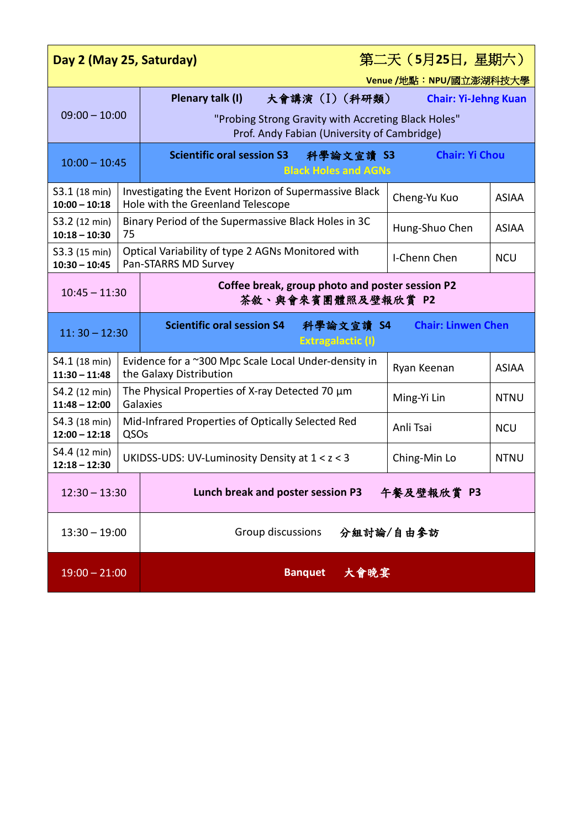| 第二天 (5月25日, 星期六)<br>Day 2 (May 25, Saturday)<br>Venue /地點: NPU/國立澎湖科技大學 |      |                                                                                                                                                                         |                           |              |  |  |
|-------------------------------------------------------------------------|------|-------------------------------------------------------------------------------------------------------------------------------------------------------------------------|---------------------------|--------------|--|--|
| $09:00 - 10:00$                                                         |      | 大會講演 (I) (科研類)<br>Plenary talk (I)<br><b>Chair: Yi-Jehng Kuan</b><br>"Probing Strong Gravity with Accreting Black Holes"<br>Prof. Andy Fabian (University of Cambridge) |                           |              |  |  |
| $10:00 - 10:45$                                                         |      | Scientific oral session S3 科學論文宣讀 S3<br><b>Black Holes and AGNs</b>                                                                                                     | <b>Chair: Yi Chou</b>     |              |  |  |
| S3.1 (18 min)<br>$10:00 - 10:18$                                        |      | Investigating the Event Horizon of Supermassive Black<br>Hole with the Greenland Telescope                                                                              | Cheng-Yu Kuo              | <b>ASIAA</b> |  |  |
| S3.2 (12 min)<br>$10:18 - 10:30$                                        | 75   | Binary Period of the Supermassive Black Holes in 3C                                                                                                                     | Hung-Shuo Chen            | <b>ASIAA</b> |  |  |
| S3.3 (15 min)<br>$10:30 - 10:45$                                        |      | Optical Variability of type 2 AGNs Monitored with<br>Pan-STARRS MD Survey                                                                                               | I-Chenn Chen              | <b>NCU</b>   |  |  |
| $10:45 - 11:30$                                                         |      | Coffee break, group photo and poster session P2<br>茶敘、與會來賓團體照及壁報欣賞 P2                                                                                                   |                           |              |  |  |
| $11:30 - 12:30$                                                         |      | <b>Scientific oral session S4</b><br>科學論文宣讀 S4<br><b>Extragalactic (I)</b>                                                                                              | <b>Chair: Linwen Chen</b> |              |  |  |
| S4.1 (18 min)                                                           |      |                                                                                                                                                                         |                           |              |  |  |
| $11:30 - 11:48$                                                         |      | Evidence for a ~300 Mpc Scale Local Under-density in<br>the Galaxy Distribution                                                                                         | Ryan Keenan               | <b>ASIAA</b> |  |  |
| S4.2 (12 min)<br>$11:48 - 12:00$                                        |      | The Physical Properties of X-ray Detected 70 µm<br>Galaxies                                                                                                             | Ming-Yi Lin               | <b>NTNU</b>  |  |  |
| S4.3 (18 min)<br>$12:00 - 12:18$                                        | QSOs | Mid-Infrared Properties of Optically Selected Red                                                                                                                       | Anli Tsai                 | <b>NCU</b>   |  |  |
| S4.4 (12 min)<br>$12:18 - 12:30$                                        |      | UKIDSS-UDS: UV-Luminosity Density at $1 < z < 3$                                                                                                                        | Ching-Min Lo              | <b>NTNU</b>  |  |  |
| $12:30 - 13:30$                                                         |      | Lunch break and poster session P3 午餐及壁報欣賞 P3                                                                                                                            |                           |              |  |  |
| $13:30 - 19:00$                                                         |      | Group discussions                                                                                                                                                       | 分組討論/自由參訪                 |              |  |  |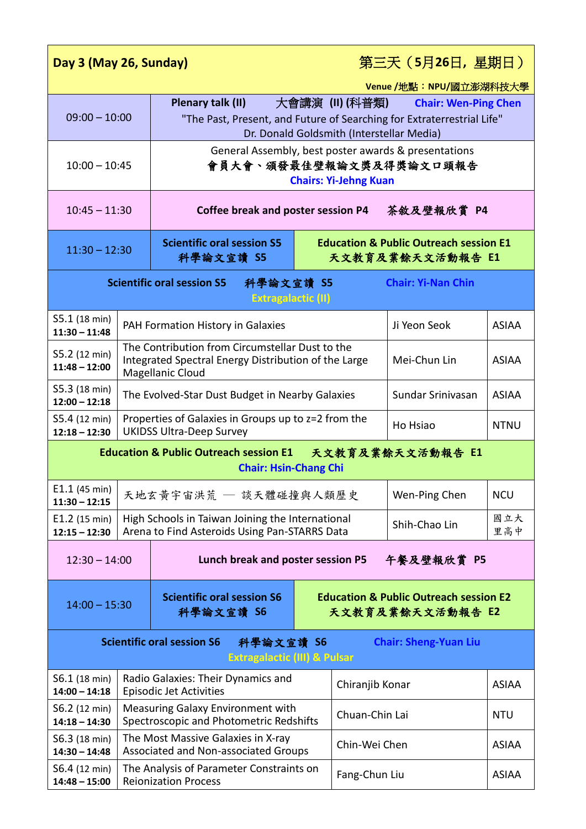**Day 3 (May 26, Sunday)** 第三天(**5**月**26**日**,** 星期日)

| Venue /地點: NPU/國立澎湖科技大學                                                                                                   |                                                                                                          |                                                                                                                                                              |                                                                       |                                                                       |                |              |
|---------------------------------------------------------------------------------------------------------------------------|----------------------------------------------------------------------------------------------------------|--------------------------------------------------------------------------------------------------------------------------------------------------------------|-----------------------------------------------------------------------|-----------------------------------------------------------------------|----------------|--------------|
| $09:00 - 10:00$                                                                                                           |                                                                                                          | Plenary talk (II)<br>大會講演 (II) (科普類)<br><b>Chair: Wen-Ping Chen</b><br>"The Past, Present, and Future of Searching for Extraterrestrial Life"                |                                                                       |                                                                       |                |              |
| $10:00 - 10:45$                                                                                                           |                                                                                                          | Dr. Donald Goldsmith (Interstellar Media)<br>General Assembly, best poster awards & presentations<br>會員大會、頒發最佳壁報論文獎及得獎論文口頭報告<br><b>Chairs: Yi-Jehng Kuan</b> |                                                                       |                                                                       |                |              |
| $10:45 - 11:30$                                                                                                           |                                                                                                          | Coffee break and poster session P4<br>茶敘及壁報欣賞 P4                                                                                                             |                                                                       |                                                                       |                |              |
| $11:30 - 12:30$                                                                                                           |                                                                                                          | <b>Scientific oral session S5</b><br>科學論文宣讀 S5                                                                                                               |                                                                       | <b>Education &amp; Public Outreach session E1</b><br>天文教育及業餘天文活動報告 E1 |                |              |
|                                                                                                                           | <b>Scientific oral session S5</b><br>科學論文宣讀 S5<br><b>Chair: Yi-Nan Chin</b><br><b>Extragalactic (II)</b> |                                                                                                                                                              |                                                                       |                                                                       |                |              |
| S5.1 (18 min)<br>$11:30 - 11:48$                                                                                          |                                                                                                          | PAH Formation History in Galaxies                                                                                                                            |                                                                       |                                                                       | Ji Yeon Seok   | <b>ASIAA</b> |
| S5.2 (12 min)<br>$11:48 - 12:00$                                                                                          |                                                                                                          | The Contribution from Circumstellar Dust to the<br>Integrated Spectral Energy Distribution of the Large<br>Mei-Chun Lin<br><b>ASIAA</b><br>Magellanic Cloud  |                                                                       |                                                                       |                |              |
| S5.3 (18 min)<br>$12:00 - 12:18$                                                                                          | The Evolved-Star Dust Budget in Nearby Galaxies<br>Sundar Srinivasan                                     |                                                                                                                                                              |                                                                       |                                                                       | <b>ASIAA</b>   |              |
| S5.4 (12 min)<br>$12:18 - 12:30$                                                                                          | Properties of Galaxies in Groups up to z=2 from the<br>Ho Hsiao<br><b>UKIDSS Ultra-Deep Survey</b>       |                                                                                                                                                              |                                                                       |                                                                       |                | <b>NTNU</b>  |
| <b>Education &amp; Public Outreach session E1</b><br>天文教育及業餘天文活動報告 E1<br><b>Chair: Hsin-Chang Chi</b>                     |                                                                                                          |                                                                                                                                                              |                                                                       |                                                                       |                |              |
| E1.1 (45 min)<br>$11:30 - 12:15$                                                                                          | 天地玄黄宇宙洪荒 – 談天體碰撞與人類歷史<br>Wen-Ping Chen                                                                   |                                                                                                                                                              |                                                                       |                                                                       | <b>NCU</b>     |              |
| $E1.2$ (15 min)<br>$12:15 - 12:30$                                                                                        |                                                                                                          | High Schools in Taiwan Joining the International<br>Arena to Find Asteroids Using Pan-STARRS Data                                                            |                                                                       |                                                                       | Shih-Chao Lin  | 國立大<br>里高中   |
| Lunch break and poster session P5<br>午餐及壁報欣賞 P5<br>$12:30 - 14:00$                                                        |                                                                                                          |                                                                                                                                                              |                                                                       |                                                                       |                |              |
| $14:00 - 15:30$                                                                                                           |                                                                                                          | <b>Scientific oral session S6</b><br>科學論文宣讀 S6                                                                                                               | <b>Education &amp; Public Outreach session E2</b><br>天文教育及業餘天文活動報告 E2 |                                                                       |                |              |
| <b>Scientific oral session S6</b><br>科學論文宣讀 S6<br><b>Chair: Sheng-Yuan Liu</b><br><b>Extragalactic (III) &amp; Pulsar</b> |                                                                                                          |                                                                                                                                                              |                                                                       |                                                                       |                |              |
| S6.1 (18 min)<br>$14:00 - 14:18$                                                                                          | Radio Galaxies: Their Dynamics and<br>Episodic Jet Activities                                            |                                                                                                                                                              |                                                                       | Chiranjib Konar                                                       | <b>ASIAA</b>   |              |
| S6.2 (12 min)<br>$14:18 - 14:30$                                                                                          |                                                                                                          | Measuring Galaxy Environment with<br>Spectroscopic and Photometric Redshifts                                                                                 |                                                                       |                                                                       | Chuan-Chin Lai |              |
| S6.3 (18 min)<br>$14:30 - 14:48$                                                                                          |                                                                                                          | The Most Massive Galaxies in X-ray<br>Associated and Non-associated Groups                                                                                   |                                                                       |                                                                       | Chin-Wei Chen  |              |
| S6.4 (12 min)<br>$14:48 - 15:00$                                                                                          | The Analysis of Parameter Constraints on<br><b>Reionization Process</b>                                  |                                                                                                                                                              |                                                                       | Fang-Chun Liu                                                         |                | <b>ASIAA</b> |